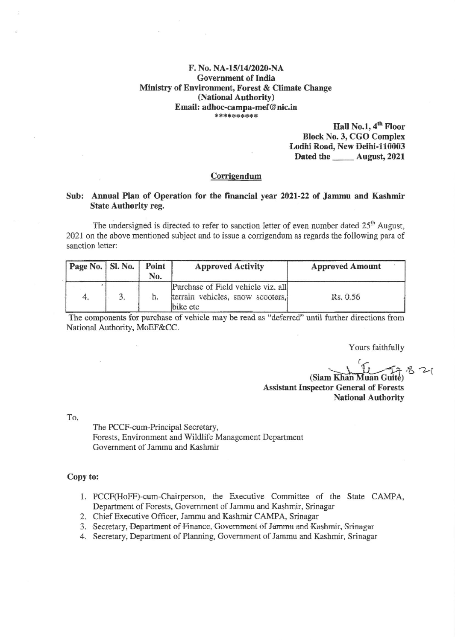## F. No. NA-15/14/2020-NA **Government of India** Ministry of Environment, Forest & Climate Change (National Authority) Email: adhoc-campa-mef@nic.in \*\*\*\*\*\*\*\*\*\*

Hall No.1, 4<sup>th</sup> Floor **Block No. 3, CGO Complex** Lodhi Road, New Delhi-110003 Dated the \_\_\_\_\_\_ August, 2021

## Corrigendum

# Sub: Annual Plan of Operation for the financial year 2021-22 of Jammu and Kashmir **State Authority reg.**

The undersigned is directed to refer to sanction letter of even number dated 25<sup>th</sup> August, 2021 on the above mentioned subject and to issue a corrigendum as regards the following para of sanction letter:

| Page No.   Sl. No. |    | Point<br>No. | <b>Approved Activity</b>                                                           | <b>Approved Amount</b> |
|--------------------|----|--------------|------------------------------------------------------------------------------------|------------------------|
| 4.                 | 3, | 五.           | Purchase of Field vehicle viz. all<br>terrain vehicles, snow scooters,<br>bike etc | Rs. 0.56               |

The components for purchase of vehicle may be read as "deferred" until further directions from National Authority, MoEF&CC.

Yours faithfully

(Siam Khan Muan Guite) **Assistant Inspector General of Forests** National Authority

To,

The PCCF-cum-Principal Secretary, Forests, Environment and Wildlife Management Department Government of Jammu and Kashmir

## Copy to:

- 1. PCCF(HoFF)-cum-Chairperson, the Executive Committee of the State CAMPA, Department of Forests, Government of Jammu and Kashmir, Srinagar
- 2. Chief Executive Officer, Jammu and Kashmir CAMPA, Srinagar
- 3. Secretary, Department of Finance, Government of Jammu and Kashmir, Srinagar
- 4. Secretary, Department of Planning, Government of Jammu and Kashmir, Srinagar